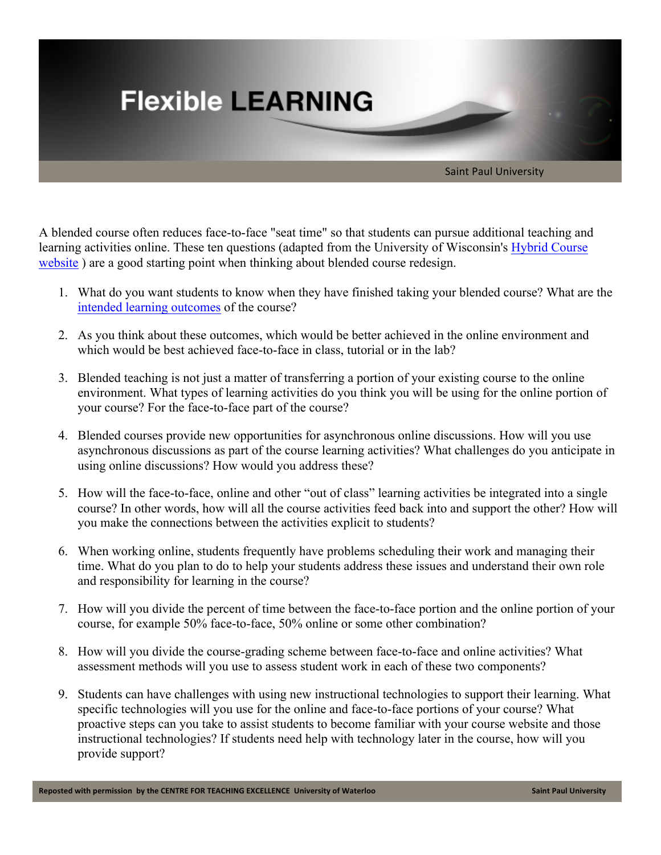

A blended course often reduces face-to-face "seat time" so that students can pursue additional teaching and learning activities online. These ten questions (adapted from the University of Wisconsin's Hybrid Course website ) are a good starting point when thinking about blended course redesign.

- 1. What do you want students to know when they have finished taking your blended course? What are the intended learning outcomes of the course?
- 2. As you think about these outcomes, which would be better achieved in the online environment and which would be best achieved face-to-face in class, tutorial or in the lab?
- 3. Blended teaching is not just a matter of transferring a portion of your existing course to the online environment. What types of learning activities do you think you will be using for the online portion of your course? For the face-to-face part of the course?
- 4. Blended courses provide new opportunities for asynchronous online discussions. How will you use asynchronous discussions as part of the course learning activities? What challenges do you anticipate in using online discussions? How would you address these?
- 5. How will the face-to-face, online and other "out of class" learning activities be integrated into a single course? In other words, how will all the course activities feed back into and support the other? How will you make the connections between the activities explicit to students?
- 6. When working online, students frequently have problems scheduling their work and managing their time. What do you plan to do to help your students address these issues and understand their own role and responsibility for learning in the course?
- 7. How will you divide the percent of time between the face-to-face portion and the online portion of your course, for example 50% face-to-face, 50% online or some other combination?
- 8. How will you divide the course-grading scheme between face-to-face and online activities? What assessment methods will you use to assess student work in each of these two components?
- 9. Students can have challenges with using new instructional technologies to support their learning. What specific technologies will you use for the online and face-to-face portions of your course? What proactive steps can you take to assist students to become familiar with your course website and those instructional technologies? If students need help with technology later in the course, how will you provide support?